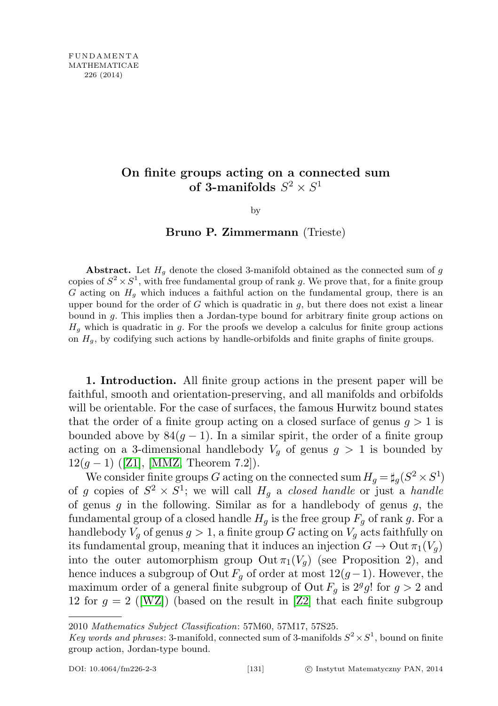## On finite groups acting on a connected sum of 3-manifolds  $S^2 \times S^1$

by

## Bruno P. Zimmermann (Trieste)

Abstract. Let  $H_g$  denote the closed 3-manifold obtained as the connected sum of  $g$ copies of  $S^2 \times S^1$ , with free fundamental group of rank g. We prove that, for a finite group G acting on  $H<sub>q</sub>$  which induces a faithful action on the fundamental group, there is an upper bound for the order of  $G$  which is quadratic in  $g$ , but there does not exist a linear bound in g. This implies then a Jordan-type bound for arbitrary finite group actions on  $H<sub>q</sub>$  which is quadratic in g. For the proofs we develop a calculus for finite group actions on  $H<sub>g</sub>$ , by codifying such actions by handle-orbifolds and finite graphs of finite groups.

1. Introduction. All finite group actions in the present paper will be faithful, smooth and orientation-preserving, and all manifolds and orbifolds will be orientable. For the case of surfaces, the famous Hurwitz bound states that the order of a finite group acting on a closed surface of genus  $q > 1$  is bounded above by  $84(g - 1)$ . In a similar spirit, the order of a finite group acting on a 3-dimensional handlebody  $V_g$  of genus  $g > 1$  is bounded by  $12(g-1)$  ([\[Z1\]](#page-11-0), [\[MMZ,](#page-11-1) Theorem 7.2]).

We consider finite groups G acting on the connected sum  $H_g = \sharp_g (S^2 \times S^1)$ of g copies of  $S^2 \times S^1$ ; we will call  $H_g$  a closed handle or just a handle of genus  $g$  in the following. Similar as for a handlebody of genus  $g$ , the fundamental group of a closed handle  $H_q$  is the free group  $F_q$  of rank g. For a handlebody  $V_q$  of genus  $g > 1$ , a finite group G acting on  $V_q$  acts faithfully on its fundamental group, meaning that it induces an injection  $G \to \text{Out } \pi_1(V_q)$ into the outer automorphism group Out  $\pi_1(V_q)$  (see Proposition 2), and hence induces a subgroup of Out  $F_q$  of order at most  $12(g-1)$ . However, the maximum order of a general finite subgroup of Out  $F_g$  is  $2^gg!$  for  $g > 2$  and 12 for  $g = 2$  ([\[WZ\]](#page-11-2)) (based on the result in [\[Z2\]](#page-11-3) that each finite subgroup

<sup>2010</sup> Mathematics Subject Classification: 57M60, 57M17, 57S25.

Key words and phrases: 3-manifold, connected sum of 3-manifolds  $S^2 \times S^1$ , bound on finite group action, Jordan-type bound.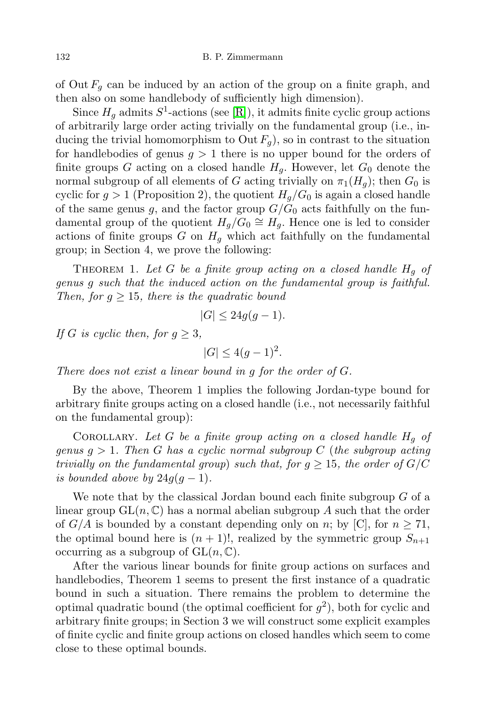of Out  $F_q$  can be induced by an action of the group on a finite graph, and then also on some handlebody of sufficiently high dimension).

Since  $H_g$  admits  $S^1$ -actions (see [\[R\]](#page-11-4)), it admits finite cyclic group actions of arbitrarily large order acting trivially on the fundamental group (i.e., inducing the trivial homomorphism to Out  $F_q$ ), so in contrast to the situation for handlebodies of genus  $g > 1$  there is no upper bound for the orders of finite groups G acting on a closed handle  $H<sub>q</sub>$ . However, let  $G<sub>0</sub>$  denote the normal subgroup of all elements of G acting trivially on  $\pi_1(H_q)$ ; then  $G_0$  is cyclic for  $g > 1$  (Proposition 2), the quotient  $H_q/G_0$  is again a closed handle of the same genus g, and the factor group  $G/G_0$  acts faithfully on the fundamental group of the quotient  $H_g/G_0 \cong H_g$ . Hence one is led to consider actions of finite groups G on  $H<sub>q</sub>$  which act faithfully on the fundamental group; in Section 4, we prove the following:

THEOREM 1. Let G be a finite group acting on a closed handle  $H<sub>g</sub>$  of genus g such that the induced action on the fundamental group is faithful. Then, for  $g \geq 15$ , there is the quadratic bound

$$
|G| \le 24g(g-1).
$$

If G is cyclic then, for  $g \geq 3$ ,

$$
|G| \le 4(g-1)^2.
$$

There does not exist a linear bound in g for the order of G.

By the above, Theorem 1 implies the following Jordan-type bound for arbitrary finite groups acting on a closed handle (i.e., not necessarily faithful on the fundamental group):

COROLLARY. Let  $G$  be a finite group acting on a closed handle  $H_g$  of genus  $g > 1$ . Then G has a cyclic normal subgroup C (the subgroup acting trivially on the fundamental group) such that, for  $q \ge 15$ , the order of  $G/C$ is bounded above by  $24g(g-1)$ .

We note that by the classical Jordan bound each finite subgroup  $G$  of a linear group  $GL(n, \mathbb{C})$  has a normal abelian subgroup A such that the order of  $G/A$  is bounded by a constant depending only on n; by [C], for  $n \geq 71$ , the optimal bound here is  $(n + 1)!$ , realized by the symmetric group  $S_{n+1}$ occurring as a subgroup of  $GL(n, \mathbb{C})$ .

After the various linear bounds for finite group actions on surfaces and handlebodies, Theorem 1 seems to present the first instance of a quadratic bound in such a situation. There remains the problem to determine the optimal quadratic bound (the optimal coefficient for  $g^2$ ), both for cyclic and arbitrary finite groups; in Section 3 we will construct some explicit examples of finite cyclic and finite group actions on closed handles which seem to come close to these optimal bounds.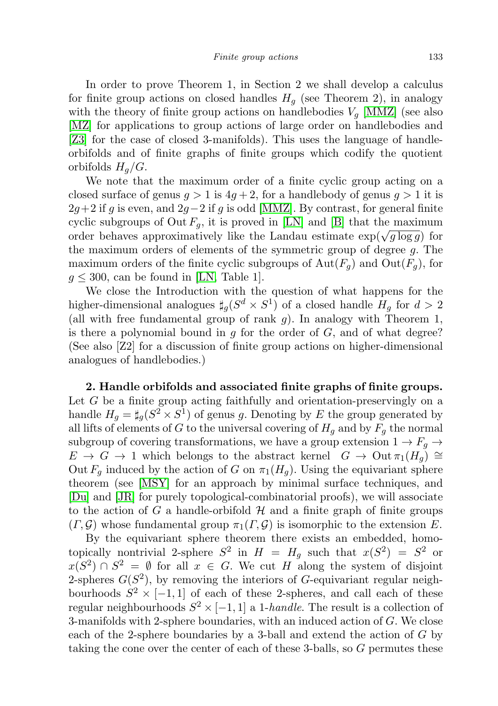In order to prove Theorem 1, in Section 2 we shall develop a calculus for finite group actions on closed handles  $H<sub>q</sub>$  (see Theorem 2), in analogy with the theory of finite group actions on handlebodies  $V_q$  [\[MMZ\]](#page-11-1) (see also [\[MZ\]](#page-11-5) for applications to group actions of large order on handlebodies and [\[Z3\]](#page-11-6) for the case of closed 3-manifolds). This uses the language of handleorbifolds and of finite graphs of finite groups which codify the quotient orbifolds  $H_q/G$ .

We note that the maximum order of a finite cyclic group acting on a closed surface of genus  $g > 1$  is  $4g + 2$ , for a handlebody of genus  $g > 1$  it is  $2g+2$  if g is even, and  $2g-2$  if g is odd [\[MMZ\]](#page-11-1). By contrast, for general finite cyclic subgroups of Out  $F_q$ , it is proved in [\[LN\]](#page-10-0) and [\[B\]](#page-10-1) that the maximum cyclic subgroups of Out  $F_g$ , it is proved in [Eiv] and [B] that the maximum<br>order behaves approximatively like the Landau estimate  $\exp(\sqrt{g \log g})$  for the maximum orders of elements of the symmetric group of degree g. The maximum orders of the finite cyclic subgroups of  $Aut(F_q)$  and  $Out(F_q)$ , for  $g \leq 300$ , can be found in [\[LN,](#page-10-0) Table 1].

We close the Introduction with the question of what happens for the higher-dimensional analogues  $\sharp_g(S^d \times S^1)$  of a closed handle  $H_g$  for  $d > 2$ (all with free fundamental group of rank  $g$ ). In analogy with Theorem 1, is there a polynomial bound in g for the order of  $G$ , and of what degree? (See also [Z2] for a discussion of finite group actions on higher-dimensional analogues of handlebodies.)

2. Handle orbifolds and associated finite graphs of finite groups. Let G be a finite group acting faithfully and orientation-preservingly on a handle  $H_g = \sharp_g (S^2 \times S^1)$  of genus g. Denoting by E the group generated by all lifts of elements of G to the universal covering of  $H_g$  and by  $F_g$  the normal subgroup of covering transformations, we have a group extension  $1 \rightarrow F_q \rightarrow$  $E \to G \to 1$  which belongs to the abstract kernel  $G \to \text{Out } \pi_1(H_q) \cong$ Out  $F_q$  induced by the action of G on  $\pi_1(H_q)$ . Using the equivariant sphere theorem (see [\[MSY\]](#page-11-7) for an approach by minimal surface techniques, and [\[Du\]](#page-10-2) and [\[JR\]](#page-10-3) for purely topological-combinatorial proofs), we will associate to the action of G a handle-orbifold  $H$  and a finite graph of finite groups  $(\Gamma, \mathcal{G})$  whose fundamental group  $\pi_1(\Gamma, \mathcal{G})$  is isomorphic to the extension E.

By the equivariant sphere theorem there exists an embedded, homotopically nontrivial 2-sphere  $S^2$  in  $H = H_g$  such that  $x(S^2) = S^2$  or  $x(S^2) \cap S^2 = \emptyset$  for all  $x \in G$ . We cut H along the system of disjoint 2-spheres  $G(S^2)$ , by removing the interiors of G-equivariant regular neighbourhoods  $S^2 \times [-1,1]$  of each of these 2-spheres, and call each of these regular neighbourhoods  $S^2 \times [-1,1]$  a 1-*handle*. The result is a collection of 3-manifolds with 2-sphere boundaries, with an induced action of G. We close each of the 2-sphere boundaries by a 3-ball and extend the action of G by taking the cone over the center of each of these 3-balls, so G permutes these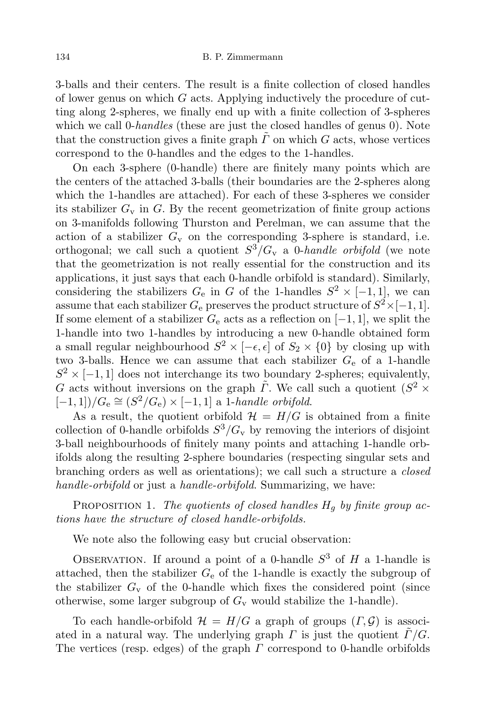3-balls and their centers. The result is a finite collection of closed handles of lower genus on which  $G$  acts. Applying inductively the procedure of cutting along 2-spheres, we finally end up with a finite collection of 3-spheres which we call 0-handles (these are just the closed handles of genus 0). Note that the construction gives a finite graph  $\tilde{\Gamma}$  on which G acts, whose vertices correspond to the 0-handles and the edges to the 1-handles.

On each 3-sphere (0-handle) there are finitely many points which are the centers of the attached 3-balls (their boundaries are the 2-spheres along which the 1-handles are attached). For each of these 3-spheres we consider its stabilizer  $G_v$  in G. By the recent geometrization of finite group actions on 3-manifolds following Thurston and Perelman, we can assume that the action of a stabilizer  $G_v$  on the corresponding 3-sphere is standard, i.e. orthogonal; we call such a quotient  $S^3/G_v$  a 0-handle orbifold (we note that the geometrization is not really essential for the construction and its applications, it just says that each 0-handle orbifold is standard). Similarly, considering the stabilizers  $G_e$  in G of the 1-handles  $S^2 \times [-1,1]$ , we can assume that each stabilizer  $G_e$  preserves the product structure of  $S^2 \times [-1,1]$ . If some element of a stabilizer  $G_e$  acts as a reflection on  $[-1, 1]$ , we split the 1-handle into two 1-handles by introducing a new 0-handle obtained form a small regular neighbourhood  $S^2 \times [-\epsilon, \epsilon]$  of  $S_2 \times \{0\}$  by closing up with two 3-balls. Hence we can assume that each stabilizer  $G_e$  of a 1-handle  $S^2 \times [-1,1]$  does not interchange its two boundary 2-spheres; equivalently, G acts without inversions on the graph  $\tilde{\Gamma}$ . We call such a quotient  $(S^2 \times$  $[-1,1])/G_e \cong (S^2/G_e) \times [-1,1]$  a 1-handle orbifold.

As a result, the quotient orbifold  $\mathcal{H} = H/G$  is obtained from a finite collection of 0-handle orbifolds  $S^3/G_v$  by removing the interiors of disjoint 3-ball neighbourhoods of finitely many points and attaching 1-handle orbifolds along the resulting 2-sphere boundaries (respecting singular sets and branching orders as well as orientations); we call such a structure a closed handle-orbifold or just a handle-orbifold. Summarizing, we have:

PROPOSITION 1. The quotients of closed handles  $H_q$  by finite group actions have the structure of closed handle-orbifolds.

We note also the following easy but crucial observation:

OBSERVATION. If around a point of a 0-handle  $S^3$  of H a 1-handle is attached, then the stabilizer  $G<sub>e</sub>$  of the 1-handle is exactly the subgroup of the stabilizer  $G_v$  of the 0-handle which fixes the considered point (since otherwise, some larger subgroup of  $G_v$  would stabilize the 1-handle).

To each handle-orbifold  $\mathcal{H} = H/G$  a graph of groups  $(\Gamma, \mathcal{G})$  is associated in a natural way. The underlying graph  $\Gamma$  is just the quotient  $\Gamma/G$ . The vertices (resp. edges) of the graph  $\Gamma$  correspond to 0-handle orbifolds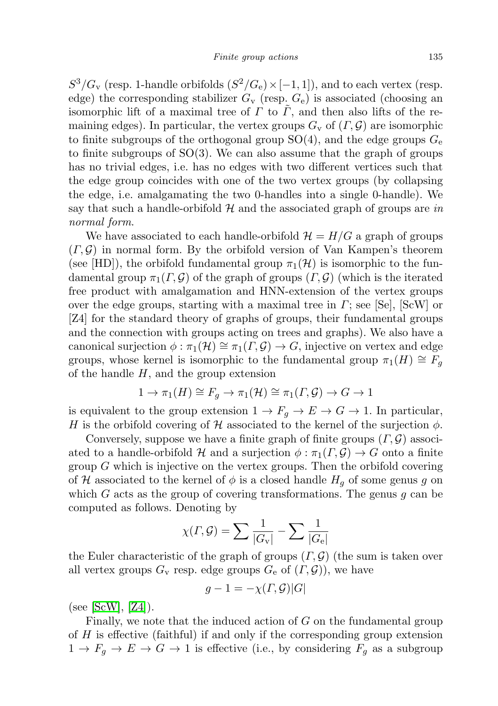$S^3/G_v$  (resp. 1-handle orbifolds  $(S^2/G_e) \times [-1,1]$ ), and to each vertex (resp. edge) the corresponding stabilizer  $G_v$  (resp.  $G_e$ ) is associated (choosing an isomorphic lift of a maximal tree of  $\Gamma$  to  $\tilde{\Gamma}$ , and then also lifts of the remaining edges). In particular, the vertex groups  $G_v$  of  $(\Gamma, \mathcal{G})$  are isomorphic to finite subgroups of the orthogonal group  $SO(4)$ , and the edge groups  $G_e$ to finite subgroups of  $SO(3)$ . We can also assume that the graph of groups has no trivial edges, i.e. has no edges with two different vertices such that the edge group coincides with one of the two vertex groups (by collapsing the edge, i.e. amalgamating the two 0-handles into a single 0-handle). We say that such a handle-orbifold  $\mathcal H$  and the associated graph of groups are in normal form.

We have associated to each handle-orbifold  $\mathcal{H} = H/G$  a graph of groups  $(\Gamma, \mathcal{G})$  in normal form. By the orbifold version of Van Kampen's theorem (see [HD]), the orbifold fundamental group  $\pi_1(\mathcal{H})$  is isomorphic to the fundamental group  $\pi_1(\Gamma, \mathcal{G})$  of the graph of groups  $(\Gamma, \mathcal{G})$  (which is the iterated free product with amalgamation and HNN-extension of the vertex groups over the edge groups, starting with a maximal tree in  $\Gamma$ ; see [Se], [ScW] or [Z4] for the standard theory of graphs of groups, their fundamental groups and the connection with groups acting on trees and graphs). We also have a canonical surjection  $\phi : \pi_1(\mathcal{H}) \cong \pi_1(\Gamma, \mathcal{G}) \to G$ , injective on vertex and edge groups, whose kernel is isomorphic to the fundamental group  $\pi_1(H) \cong F_g$ of the handle  $H$ , and the group extension

$$
1 \to \pi_1(H) \cong F_g \to \pi_1(\mathcal{H}) \cong \pi_1(\Gamma, \mathcal{G}) \to G \to 1
$$

is equivalent to the group extension  $1 \to F_q \to E \to G \to 1$ . In particular, H is the orbifold covering of H associated to the kernel of the surjection  $\phi$ .

Conversely, suppose we have a finite graph of finite groups  $(\Gamma, \mathcal{G})$  associated to a handle-orbifold H and a surjection  $\phi : \pi_1(\Gamma, \mathcal{G}) \to G$  onto a finite group  $G$  which is injective on the vertex groups. Then the orbifold covering of H associated to the kernel of  $\phi$  is a closed handle  $H<sub>q</sub>$  of some genus g on which G acts as the group of covering transformations. The genus  $q$  can be computed as follows. Denoting by

$$
\chi(\varGamma,\mathcal{G})=\sum\frac{1}{|G_{\rm v}|}-\sum\frac{1}{|G_{\rm e}|}
$$

the Euler characteristic of the graph of groups  $(\Gamma, \mathcal{G})$  (the sum is taken over all vertex groups  $G_v$  resp. edge groups  $G_e$  of  $(\Gamma, \mathcal{G})$ , we have

$$
g - 1 = -\chi(\Gamma, \mathcal{G})|G|
$$

 $(see [ScW], [Z4]).$  $(see [ScW], [Z4]).$  $(see [ScW], [Z4]).$  $(see [ScW], [Z4]).$  $(see [ScW], [Z4]).$ 

Finally, we note that the induced action of  $G$  on the fundamental group of H is effective (faithful) if and only if the corresponding group extension  $1 \rightarrow F_g \rightarrow E \rightarrow G \rightarrow 1$  is effective (i.e., by considering  $F_g$  as a subgroup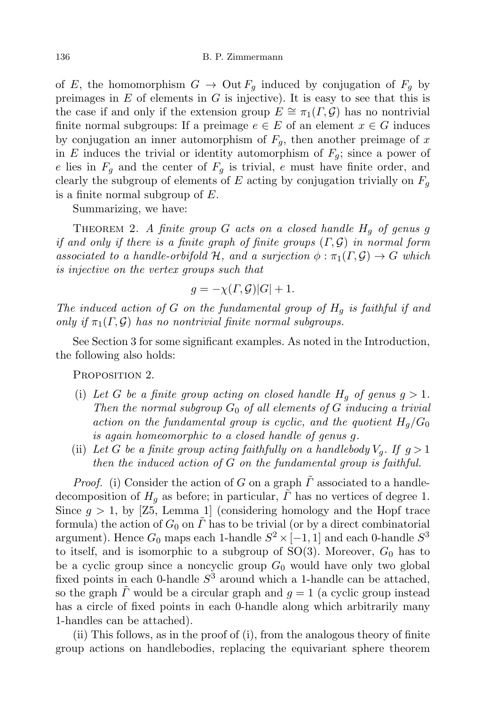of E, the homomorphism  $G \to \text{Out } F_q$  induced by conjugation of  $F_q$  by preimages in  $E$  of elements in  $G$  is injective). It is easy to see that this is the case if and only if the extension group  $E \cong \pi_1(\Gamma, \mathcal{G})$  has no nontrivial finite normal subgroups: If a preimage  $e \in E$  of an element  $x \in G$  induces by conjugation an inner automorphism of  $F_g$ , then another preimage of x in E induces the trivial or identity automorphism of  $F_g$ ; since a power of e lies in  $F_g$  and the center of  $F_g$  is trivial, e must have finite order, and clearly the subgroup of elements of E acting by conjugation trivially on  $F_q$ is a finite normal subgroup of  $E$ .

Summarizing, we have:

THEOREM 2. A finite group  $G$  acts on a closed handle  $H_g$  of genus g if and only if there is a finite graph of finite groups  $(\Gamma, \mathcal{G})$  in normal form associated to a handle-orbifold H, and a surjection  $\phi : \pi_1(\Gamma, \mathcal{G}) \to G$  which is injective on the vertex groups such that

$$
g = -\chi(\Gamma, \mathcal{G})|G| + 1.
$$

The induced action of G on the fundamental group of  $H_q$  is faithful if and only if  $\pi_1(\Gamma, \mathcal{G})$  has no nontrivial finite normal subgroups.

See Section 3 for some significant examples. As noted in the Introduction, the following also holds:

PROPOSITION 2.

- (i) Let G be a finite group acting on closed handle  $H_q$  of genus  $q > 1$ . Then the normal subgroup  $G_0$  of all elements of G inducing a trivial action on the fundamental group is cyclic, and the quotient  $H_q/G_0$ is again homeomorphic to a closed handle of genus g.
- (ii) Let G be a finite group acting faithfully on a handlebody  $V_q$ . If  $g > 1$ then the induced action of  $G$  on the fundamental group is faithful.

*Proof.* (i) Consider the action of G on a graph  $\tilde{\Gamma}$  associated to a handledecomposition of  $H<sub>q</sub>$  as before; in particular,  $\tilde{\Gamma}$  has no vertices of degree 1. Since  $g > 1$ , by [Z5, Lemma 1] (considering homology and the Hopf trace formula) the action of  $G_0$  on  $\tilde{\Gamma}$  has to be trivial (or by a direct combinatorial argument). Hence  $G_0$  maps each 1-handle  $S^2 \times [-1,1]$  and each 0-handle  $S^3$ to itself, and is isomorphic to a subgroup of  $SO(3)$ . Moreover,  $G_0$  has to be a cyclic group since a noncyclic group  $G_0$  would have only two global fixed points in each 0-handle  $S^3$  around which a 1-handle can be attached, so the graph  $\tilde{\Gamma}$  would be a circular graph and  $q=1$  (a cyclic group instead has a circle of fixed points in each 0-handle along which arbitrarily many 1-handles can be attached).

(ii) This follows, as in the proof of (i), from the analogous theory of finite group actions on handlebodies, replacing the equivariant sphere theorem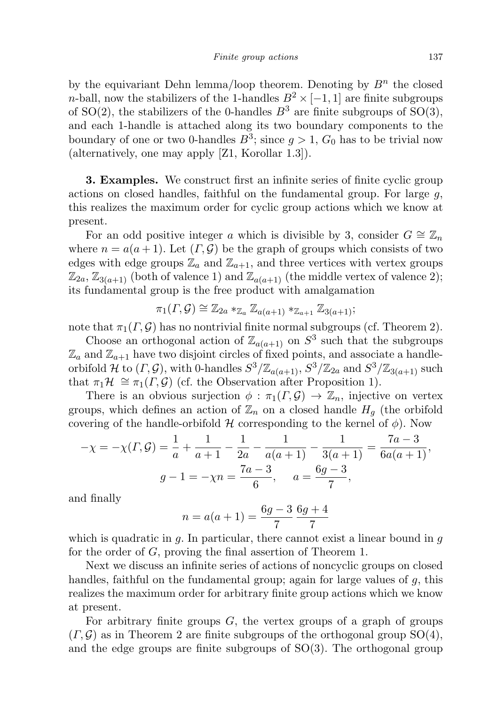by the equivariant Dehn lemma/loop theorem. Denoting by  $B<sup>n</sup>$  the closed n-ball, now the stabilizers of the 1-handles  $B^2 \times [-1,1]$  are finite subgroups of SO(2), the stabilizers of the 0-handles  $B^3$  are finite subgroups of SO(3), and each 1-handle is attached along its two boundary components to the boundary of one or two 0-handles  $B^3$ ; since  $g > 1$ ,  $G_0$  has to be trivial now (alternatively, one may apply [Z1, Korollar 1.3]).

**3. Examples.** We construct first an infinite series of finite cyclic group actions on closed handles, faithful on the fundamental group. For large  $q$ , this realizes the maximum order for cyclic group actions which we know at present.

For an odd positive integer a which is divisible by 3, consider  $G \cong \mathbb{Z}_n$ where  $n = a(a + 1)$ . Let  $(\Gamma, \mathcal{G})$  be the graph of groups which consists of two edges with edge groups  $\mathbb{Z}_a$  and  $\mathbb{Z}_{a+1}$ , and three vertices with vertex groups  $\mathbb{Z}_{2a}$ ,  $\mathbb{Z}_{3(a+1)}$  (both of valence 1) and  $\mathbb{Z}_{a(a+1)}$  (the middle vertex of valence 2); its fundamental group is the free product with amalgamation

$$
\pi_1(\Gamma, \mathcal{G}) \cong \mathbb{Z}_{2a} *_{\mathbb{Z}_a} \mathbb{Z}_{a(a+1)} *_{\mathbb{Z}_{a+1}} \mathbb{Z}_{3(a+1)};
$$

note that  $\pi_1(\Gamma, \mathcal{G})$  has no nontrivial finite normal subgroups (cf. Theorem 2).

Choose an orthogonal action of  $\mathbb{Z}_{a(a+1)}$  on  $S^3$  such that the subgroups  $\mathbb{Z}_a$  and  $\mathbb{Z}_{a+1}$  have two disjoint circles of fixed points, and associate a handleorbifold H to  $(\Gamma, \mathcal{G})$ , with 0-handles  $S^3/\mathbb{Z}_{a(a+1)}, S^3/\mathbb{Z}_{2a}$  and  $S^3/\mathbb{Z}_{3(a+1)}$  such that  $\pi_1\mathcal{H} \cong \pi_1(\Gamma, \mathcal{G})$  (cf. the Observation after Proposition 1).

There is an obvious surjection  $\phi : \pi_1(\Gamma, \mathcal{G}) \to \mathbb{Z}_n$ , injective on vertex groups, which defines an action of  $\mathbb{Z}_n$  on a closed handle  $H_q$  (the orbifold covering of the handle-orbifold  $H$  corresponding to the kernel of  $\phi$ ). Now

$$
-\chi = -\chi(\Gamma, \mathcal{G}) = \frac{1}{a} + \frac{1}{a+1} - \frac{1}{2a} - \frac{1}{a(a+1)} - \frac{1}{3(a+1)} = \frac{7a-3}{6a(a+1)},
$$

$$
g - 1 = -\chi n = \frac{7a-3}{6}, \qquad a = \frac{6g-3}{7},
$$

and finally

$$
n = a(a+1) = \frac{6g-3}{7} \frac{6g+4}{7}
$$

which is quadratic in  $g$ . In particular, there cannot exist a linear bound in  $g$ for the order of G, proving the final assertion of Theorem 1.

Next we discuss an infinite series of actions of noncyclic groups on closed handles, faithful on the fundamental group; again for large values of  $q$ , this realizes the maximum order for arbitrary finite group actions which we know at present.

For arbitrary finite groups  $G$ , the vertex groups of a graph of groups  $(\Gamma, \mathcal{G})$  as in Theorem 2 are finite subgroups of the orthogonal group SO(4), and the edge groups are finite subgroups of  $SO(3)$ . The orthogonal group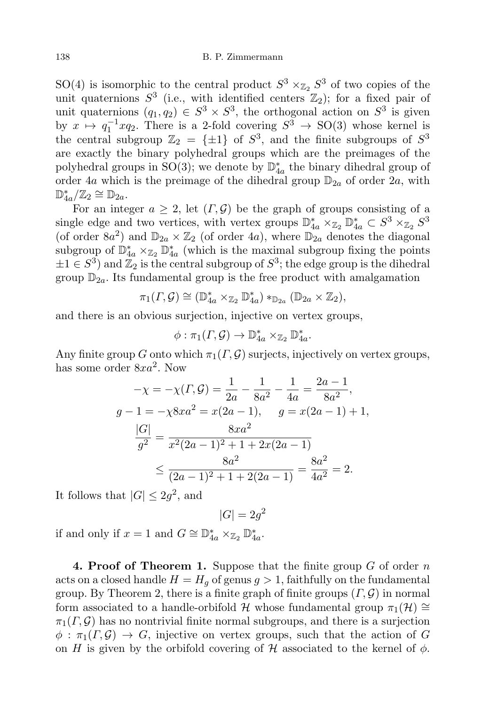SO(4) is isomorphic to the central product  $S^3 \times_{\mathbb{Z}_2} S^3$  of two copies of the unit quaternions  $S^3$  (i.e., with identified centers  $\mathbb{Z}_2$ ); for a fixed pair of unit quaternions  $(q_1, q_2) \in S^3 \times S^3$ , the orthogonal action on  $S^3$  is given by  $x \mapsto q_1^{-1}xq_2$ . There is a 2-fold covering  $S^3 \to SO(3)$  whose kernel is the central subgroup  $\mathbb{Z}_2 = {\pm 1}$  of  $S^3$ , and the finite subgroups of  $S^3$ are exactly the binary polyhedral groups which are the preimages of the polyhedral groups in SO(3); we denote by  $\mathbb{D}_{4a}^*$  the binary dihedral group of order 4a which is the preimage of the dihedral group  $\mathbb{D}_{2a}$  of order  $2a$ , with  $\mathbb{D}_{4a}^*/\mathbb{Z}_2 \cong \mathbb{D}_{2a}.$ 

For an integer  $a \geq 2$ , let  $(\Gamma, \mathcal{G})$  be the graph of groups consisting of a single edge and two vertices, with vertex groups  $\mathbb{D}_{4a}^* \times_{\mathbb{Z}_2} \mathbb{D}_{4a}^* \subset S^3 \times_{\mathbb{Z}_2} S^3$ (of order  $8a^2$ ) and  $\mathbb{D}_{2a} \times \mathbb{Z}_2$  (of order 4a), where  $\mathbb{D}_{2a}$  denotes the diagonal subgroup of  $\mathbb{D}_{4a}^* \times_{\mathbb{Z}_2} \mathbb{D}_{4a}^*$  (which is the maximal subgroup fixing the points  $\pm 1 \in S^3$  and  $\overline{\mathbb{Z}_2}$  is the central subgroup of  $S^3$ ; the edge group is the dihedral group  $\mathbb{D}_{2a}$ . Its fundamental group is the free product with amalgamation

$$
\pi_1(\Gamma, \mathcal{G}) \cong (\mathbb{D}_{4a}^* \times_{\mathbb{Z}_2} \mathbb{D}_{4a}^*) *_{\mathbb{D}_{2a}} (\mathbb{D}_{2a} \times \mathbb{Z}_2),
$$

and there is an obvious surjection, injective on vertex groups,

$$
\phi: \pi_1(\Gamma, \mathcal{G}) \to \mathbb{D}_{4a}^* \times_{\mathbb{Z}_2} \mathbb{D}_{4a}^*.
$$

Any finite group G onto which  $\pi_1(\Gamma, \mathcal{G})$  surjects, injectively on vertex groups, has some order  $8xa^2$ . Now

$$
-\chi = -\chi(\Gamma, \mathcal{G}) = \frac{1}{2a} - \frac{1}{8a^2} - \frac{1}{4a} = \frac{2a - 1}{8a^2},
$$
  
\n
$$
g - 1 = -\chi 8xa^2 = x(2a - 1), \quad g = x(2a - 1) + 1,
$$
  
\n
$$
\frac{|G|}{g^2} = \frac{8xa^2}{x^2(2a - 1)^2 + 1 + 2x(2a - 1)}
$$
  
\n
$$
\leq \frac{8a^2}{(2a - 1)^2 + 1 + 2(2a - 1)} = \frac{8a^2}{4a^2} = 2.
$$

It follows that  $|G| \leq 2g^2$ , and

$$
|G| = 2g^2
$$

if and only if  $x = 1$  and  $G \cong \mathbb{D}_{4a}^* \times_{\mathbb{Z}_2} \mathbb{D}_{4a}^*$ .

**4. Proof of Theorem 1.** Suppose that the finite group  $G$  of order  $n$ acts on a closed handle  $H = H<sub>q</sub>$  of genus  $g > 1$ , faithfully on the fundamental group. By Theorem 2, there is a finite graph of finite groups  $(\Gamma, \mathcal{G})$  in normal form associated to a handle-orbifold H whose fundamental group  $\pi_1(\mathcal{H}) \cong$  $\pi_1(\Gamma, \mathcal{G})$  has no nontrivial finite normal subgroups, and there is a surjection  $\phi : \pi_1(\Gamma, \mathcal{G}) \to G$ , injective on vertex groups, such that the action of G on H is given by the orbifold covering of H associated to the kernel of  $\phi$ .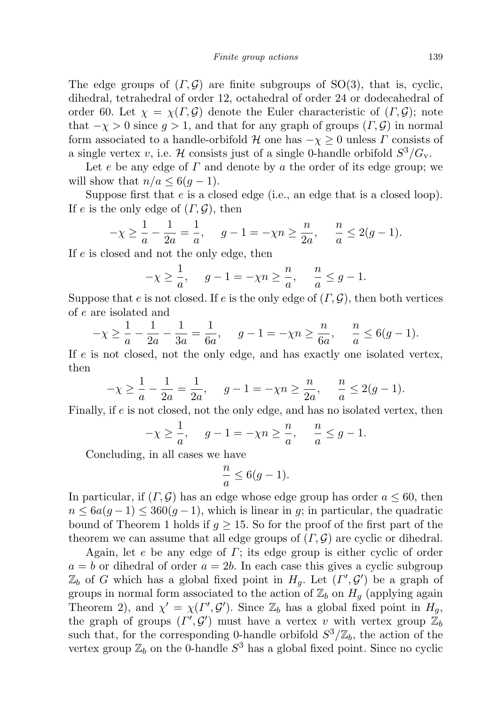The edge groups of  $(\Gamma, \mathcal{G})$  are finite subgroups of SO(3), that is, cyclic, dihedral, tetrahedral of order 12, octahedral of order 24 or dodecahedral of order 60. Let  $\chi = \chi(\Gamma, \mathcal{G})$  denote the Euler characteristic of  $(\Gamma, \mathcal{G})$ ; note that  $-\chi > 0$  since  $g > 1$ , and that for any graph of groups  $(\Gamma, \mathcal{G})$  in normal form associated to a handle-orbifold H one has  $-\chi \geq 0$  unless  $\Gamma$  consists of a single vertex v, i.e. H consists just of a single 0-handle orbifold  $S^3/G_v$ .

Let e be any edge of  $\Gamma$  and denote by a the order of its edge group; we will show that  $n/a \leq 6(q-1)$ .

Suppose first that e is a closed edge (i.e., an edge that is a closed loop). If e is the only edge of  $(\Gamma, \mathcal{G})$ , then

$$
-\chi \ge \frac{1}{a} - \frac{1}{2a} = \frac{1}{a}, \quad g - 1 = -\chi n \ge \frac{n}{2a}, \quad \frac{n}{a} \le 2(g - 1).
$$

If e is closed and not the only edge, then

$$
-\chi \ge \frac{1}{a}, \quad g - 1 = -\chi n \ge \frac{n}{a}, \quad \frac{n}{a} \le g - 1.
$$

Suppose that e is not closed. If e is the only edge of  $(\Gamma, \mathcal{G})$ , then both vertices of e are isolated and

$$
-\chi \ge \frac{1}{a} - \frac{1}{2a} - \frac{1}{3a} = \frac{1}{6a}, \quad g - 1 = -\chi n \ge \frac{n}{6a}, \quad \frac{n}{a} \le 6(g - 1).
$$

If e is not closed, not the only edge, and has exactly one isolated vertex, then

$$
-\chi \ge \frac{1}{a} - \frac{1}{2a} = \frac{1}{2a}, \quad g - 1 = -\chi n \ge \frac{n}{2a}, \quad \frac{n}{a} \le 2(g - 1).
$$

Finally, if e is not closed, not the only edge, and has no isolated vertex, then

$$
-\chi \ge \frac{1}{a}, \quad g - 1 = -\chi n \ge \frac{n}{a}, \quad \frac{n}{a} \le g - 1.
$$

Concluding, in all cases we have

$$
\frac{n}{a} \le 6(g-1).
$$

In particular, if  $(\Gamma, \mathcal{G})$  has an edge whose edge group has order  $a \leq 60$ , then  $n \leq 6a(g-1) \leq 360(g-1)$ , which is linear in g; in particular, the quadratic bound of Theorem 1 holds if  $q \ge 15$ . So for the proof of the first part of the theorem we can assume that all edge groups of  $(\Gamma, \mathcal{G})$  are cyclic or dihedral.

Again, let e be any edge of  $\Gamma$ ; its edge group is either cyclic of order  $a = b$  or dihedral of order  $a = 2b$ . In each case this gives a cyclic subgroup  $\mathbb{Z}_b$  of G which has a global fixed point in  $H_g$ . Let  $(\Gamma', \mathcal{G}')$  be a graph of groups in normal form associated to the action of  $\mathbb{Z}_b$  on  $H_g$  (applying again Theorem 2), and  $\chi' = \chi(\Gamma', \mathcal{G}')$ . Since  $\mathbb{Z}_b$  has a global fixed point in  $H_g$ , the graph of groups  $(\Gamma', \mathcal{G}')$  must have a vertex v with vertex group  $\mathbb{Z}_b$ such that, for the corresponding 0-handle orbifold  $S^3/\mathbb{Z}_b$ , the action of the vertex group  $\mathbb{Z}_b$  on the 0-handle  $S^3$  has a global fixed point. Since no cyclic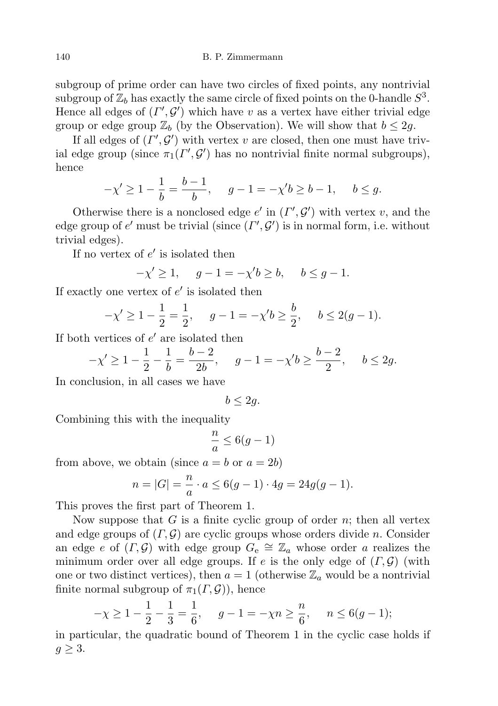140 B. P. Zimmermann

subgroup of prime order can have two circles of fixed points, any nontrivial subgroup of  $\mathbb{Z}_b$  has exactly the same circle of fixed points on the 0-handle  $S^3$ . Hence all edges of  $(\Gamma', \mathcal{G}')$  which have v as a vertex have either trivial edge group or edge group  $\mathbb{Z}_b$  (by the Observation). We will show that  $b \leq 2g$ .

If all edges of  $(\Gamma', \mathcal{G}')$  with vertex v are closed, then one must have trivial edge group (since  $\pi_1(\Gamma', \mathcal{G}')$  has no nontrivial finite normal subgroups), hence

$$
-\chi' \ge 1 - \frac{1}{b} = \frac{b-1}{b}, \quad g - 1 = -\chi' b \ge b - 1, \quad b \le g.
$$

Otherwise there is a nonclosed edge  $e'$  in  $(\Gamma', \mathcal{G}')$  with vertex v, and the edge group of  $e'$  must be trivial (since  $(\Gamma', \mathcal{G}')$  is in normal form, i.e. without trivial edges).

If no vertex of  $e'$  is isolated then

 $-\chi' \geq 1$ ,  $g-1 = -\chi' b \geq b$ ,  $b \leq g-1$ .

If exactly one vertex of  $e'$  is isolated then

$$
-\chi' \ge 1 - \frac{1}{2} = \frac{1}{2}
$$
,  $g - 1 = -\chi' b \ge \frac{b}{2}$ ,  $b \le 2(g - 1)$ .

If both vertices of  $e'$  are isolated then

$$
-\chi' \ge 1 - \frac{1}{2} - \frac{1}{b} = \frac{b-2}{2b}, \quad g - 1 = -\chi'b \ge \frac{b-2}{2}, \quad b \le 2g.
$$

In conclusion, in all cases we have

 $b < 2q$ .

Combining this with the inequality

$$
\frac{n}{a} \le 6(g-1)
$$

from above, we obtain (since  $a = b$  or  $a = 2b$ )

$$
n = |G| = \frac{n}{a} \cdot a \le 6(g - 1) \cdot 4g = 24g(g - 1).
$$

This proves the first part of Theorem 1.

Now suppose that  $G$  is a finite cyclic group of order  $n$ ; then all vertex and edge groups of  $(\Gamma, \mathcal{G})$  are cyclic groups whose orders divide n. Consider an edge e of  $(\Gamma, \mathcal{G})$  with edge group  $G_e \cong \mathbb{Z}_a$  whose order a realizes the minimum order over all edge groups. If e is the only edge of  $(\Gamma, \mathcal{G})$  (with one or two distinct vertices), then  $a = 1$  (otherwise  $\mathbb{Z}_a$  would be a nontrivial finite normal subgroup of  $\pi_1(\Gamma, \mathcal{G})$ , hence

$$
-\chi \ge 1 - \frac{1}{2} - \frac{1}{3} = \frac{1}{6}, \quad g - 1 = -\chi n \ge \frac{n}{6}, \quad n \le 6(g - 1);
$$

in particular, the quadratic bound of Theorem 1 in the cyclic case holds if  $g \geq 3$ .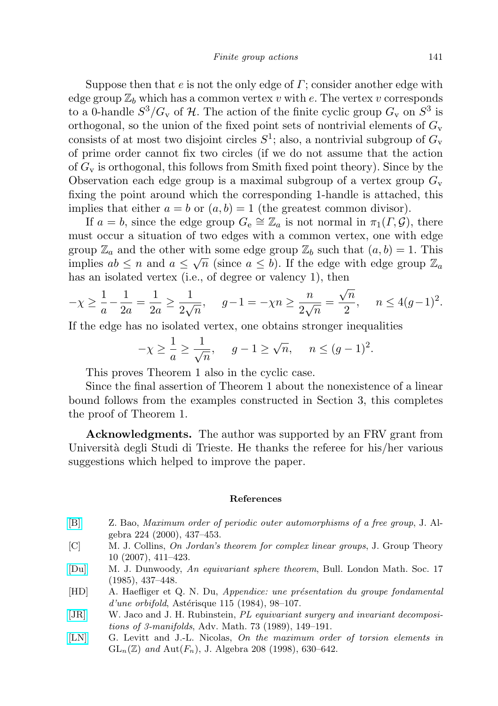Suppose then that  $e$  is not the only edge of  $\Gamma$ ; consider another edge with edge group  $\mathbb{Z}_b$  which has a common vertex v with e. The vertex v corresponds to a 0-handle  $S^3/G_v$  of H. The action of the finite cyclic group  $G_v$  on  $S^3$  is orthogonal, so the union of the fixed point sets of nontrivial elements of  $G_{v}$ consists of at most two disjoint circles  $S^1$ ; also, a nontrivial subgroup of  $G_v$ of prime order cannot fix two circles (if we do not assume that the action of  $G_v$  is orthogonal, this follows from Smith fixed point theory). Since by the Observation each edge group is a maximal subgroup of a vertex group  $G_v$ fixing the point around which the corresponding 1-handle is attached, this implies that either  $a = b$  or  $(a, b) = 1$  (the greatest common divisor).

If  $a = b$ , since the edge group  $G_e \cong \mathbb{Z}_a$  is not normal in  $\pi_1(\Gamma, \mathcal{G})$ , there must occur a situation of two edges with a common vertex, one with edge group  $\mathbb{Z}_a$  and the other with some edge group  $\mathbb{Z}_b$  such that  $(a, b) = 1$ . This implies  $ab \leq n$  and  $a \leq \sqrt{n}$  (since  $a \leq b$ ). If the edge with edge group  $\mathbb{Z}_a$ has an isolated vertex (i.e., of degree or valency 1), then

$$
-\chi \ge \frac{1}{a} - \frac{1}{2a} = \frac{1}{2a} \ge \frac{1}{2\sqrt{n}}, \quad g - 1 = -\chi n \ge \frac{n}{2\sqrt{n}} = \frac{\sqrt{n}}{2}, \quad n \le 4(g - 1)^2.
$$

If the edge has no isolated vertex, one obtains stronger inequalities

$$
-\chi \ge \frac{1}{a} \ge \frac{1}{\sqrt{n}}, \quad g-1 \ge \sqrt{n}, \quad n \le (g-1)^2.
$$

This proves Theorem 1 also in the cyclic case.

Since the final assertion of Theorem 1 about the nonexistence of a linear bound follows from the examples constructed in Section 3, this completes the proof of Theorem 1.

Acknowledgments. The author was supported by an FRV grant from Università degli Studi di Trieste. He thanks the referee for his/her various suggestions which helped to improve the paper.

## References

- <span id="page-10-1"></span>[\[B\]](http://dx.doi.org/10.1006/jabr.1999.8074) Z. Bao, Maximum order of periodic outer automorphisms of a free group, J. Algebra 224 (2000), 437–453.
- [C] M. J. Collins, On Jordan's theorem for complex linear groups, J. Group Theory 10 (2007), 411–423.
- <span id="page-10-2"></span>[\[Du\]](http://dx.doi.org/10.1112/blms/17.5.437) M. J. Dunwoody, An equivariant sphere theorem, Bull. London Math. Soc. 17 (1985), 437–448.
- [HD] A. Haefliger et Q. N. Du, Appendice: une présentation du groupe fondamental  $d'une orbital, Astérisque 115 (1984), 98–107.$
- <span id="page-10-3"></span>[\[JR\]](http://dx.doi.org/10.1016/0001-8708(89)90067-4) W. Jaco and J. H. Rubinstein, PL equivariant surgery and invariant decompositions of 3-manifolds, Adv. Math. 73 (1989), 149–191.
- <span id="page-10-0"></span>[\[LN\]](http://dx.doi.org/10.1006/jabr.1998.7481) G. Levitt and J.-L. Nicolas, On the maximum order of torsion elements in  $GL_n(\mathbb{Z})$  and  $Aut(F_n)$ , J. Algebra 208 (1998), 630–642.